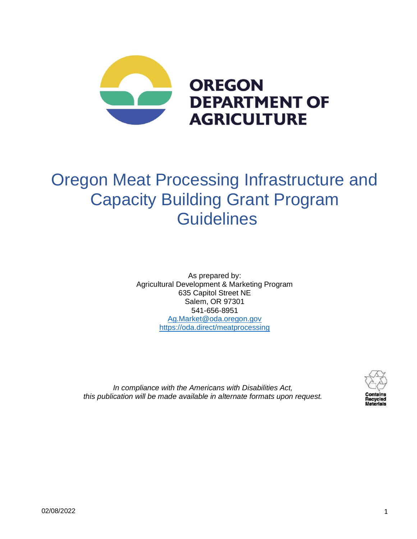

# Oregon Meat Processing Infrastructure and Capacity Building Grant Program **Guidelines**

As prepared by: Agricultural Development & Marketing Program 635 Capitol Street NE Salem, OR 97301 541-656-8951 [Ag.Market@oda.oregon.gov](mailto:Ag.Market@oda.oregon.gov) <https://oda.direct/meatprocessing>



*In compliance with the Americans with Disabilities Act, this publication will be made available in alternate formats upon request.*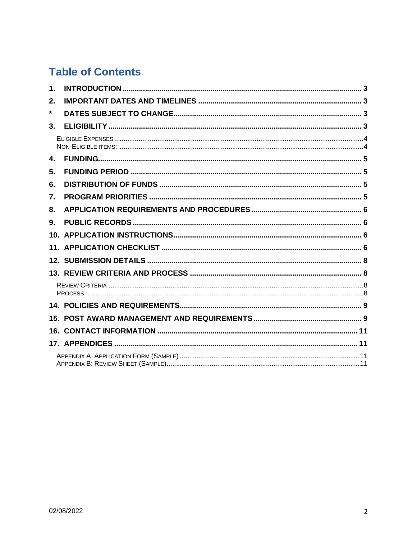# **Table of Contents**

| $\mathbf 1$ . |  |
|---------------|--|
| 2.            |  |
| *             |  |
| 3.            |  |
|               |  |
| 4.            |  |
| 5.            |  |
| 6.            |  |
| 7.            |  |
| 8.            |  |
| 9.            |  |
|               |  |
|               |  |
|               |  |
|               |  |
|               |  |
|               |  |
|               |  |
|               |  |
|               |  |
|               |  |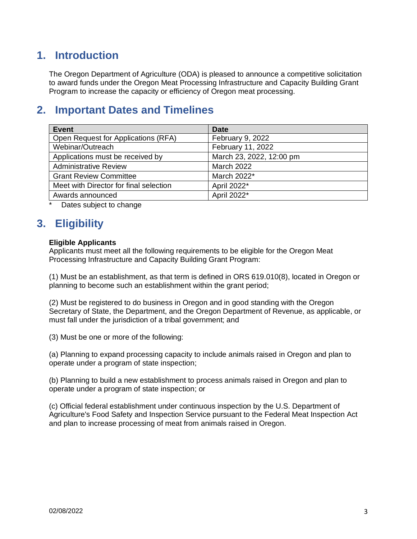# <span id="page-2-0"></span>**1. Introduction**

The Oregon Department of Agriculture (ODA) is pleased to announce a competitive solicitation to award funds under the Oregon Meat Processing Infrastructure and Capacity Building Grant Program to increase the capacity or efficiency of Oregon meat processing.

# <span id="page-2-1"></span>**2. Important Dates and Timelines**

| <b>Event</b>                           | <b>Date</b>              |
|----------------------------------------|--------------------------|
| Open Request for Applications (RFA)    | February 9, 2022         |
| Webinar/Outreach                       | February 11, 2022        |
| Applications must be received by       | March 23, 2022, 12:00 pm |
| <b>Administrative Review</b>           | <b>March 2022</b>        |
| <b>Grant Review Committee</b>          | March 2022*              |
| Meet with Director for final selection | April 2022*              |
| Awards announced                       | April 2022*              |

<span id="page-2-3"></span><span id="page-2-2"></span>Dates subject to change

# **3. Eligibility**

### **Eligible Applicants**

Applicants must meet all the following requirements to be eligible for the Oregon Meat Processing Infrastructure and Capacity Building Grant Program:

(1) Must be an establishment, as that term is defined in ORS 619.010(8), located in Oregon or planning to become such an establishment within the grant period;

(2) Must be registered to do business in Oregon and in good standing with the Oregon Secretary of State, the Department, and the Oregon Department of Revenue, as applicable, or must fall under the jurisdiction of a tribal government; and

(3) Must be one or more of the following:

(a) Planning to expand processing capacity to include animals raised in Oregon and plan to operate under a program of state inspection;

(b) Planning to build a new establishment to process animals raised in Oregon and plan to operate under a program of state inspection; or

(c) Official federal establishment under continuous inspection by the U.S. Department of Agriculture's Food Safety and Inspection Service pursuant to the Federal Meat Inspection Act and plan to increase processing of meat from animals raised in Oregon.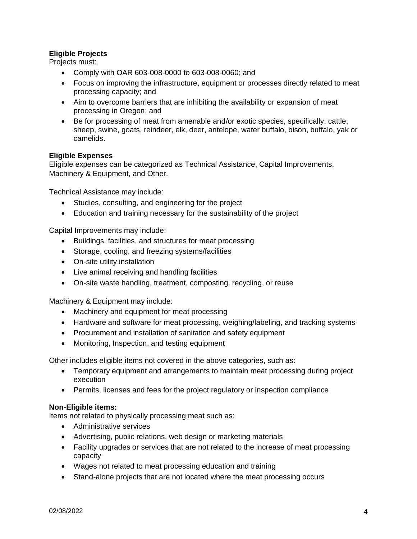### **Eligible Projects**

Projects must:

- Comply with OAR 603-008-0000 to 603-008-0060; and
- Focus on improving the infrastructure, equipment or processes directly related to meat processing capacity; and
- Aim to overcome barriers that are inhibiting the availability or expansion of meat processing in Oregon; and
- Be for processing of meat from amenable and/or exotic species, specifically: cattle, sheep, swine, goats, reindeer, elk, deer, antelope, water buffalo, bison, buffalo, yak or camelids.

### <span id="page-3-0"></span>**Eligible Expenses**

Eligible expenses can be categorized as Technical Assistance, Capital Improvements, Machinery & Equipment, and Other.

Technical Assistance may include:

- Studies, consulting, and engineering for the project
- Education and training necessary for the sustainability of the project

Capital Improvements may include:

- Buildings, facilities, and structures for meat processing
- Storage, cooling, and freezing systems/facilities
- On-site utility installation
- Live animal receiving and handling facilities
- On-site waste handling, treatment, composting, recycling, or reuse

Machinery & Equipment may include:

- Machinery and equipment for meat processing
- Hardware and software for meat processing, weighing/labeling, and tracking systems
- Procurement and installation of sanitation and safety equipment
- Monitoring, Inspection, and testing equipment

Other includes eligible items not covered in the above categories, such as:

- Temporary equipment and arrangements to maintain meat processing during project execution
- Permits, licenses and fees for the project regulatory or inspection compliance

### <span id="page-3-1"></span>**Non-Eligible items:**

Items not related to physically processing meat such as:

- Administrative services
- Advertising, public relations, web design or marketing materials
- Facility upgrades or services that are not related to the increase of meat processing capacity
- Wages not related to meat processing education and training
- Stand-alone projects that are not located where the meat processing occurs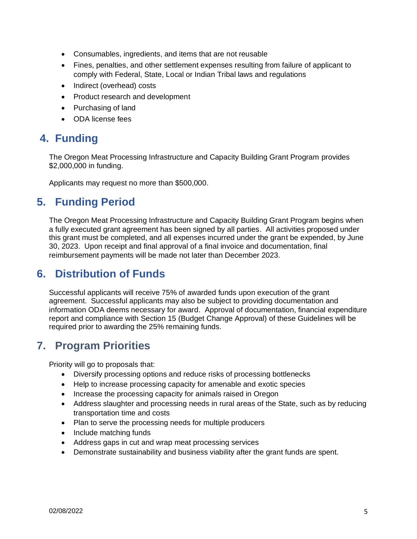- Consumables, ingredients, and items that are not reusable
- Fines, penalties, and other settlement expenses resulting from failure of applicant to comply with Federal, State, Local or Indian Tribal laws and regulations
- Indirect (overhead) costs
- Product research and development
- Purchasing of land
- ODA license fees

# <span id="page-4-0"></span>**4. Funding**

The Oregon Meat Processing Infrastructure and Capacity Building Grant Program provides \$2,000,000 in funding.

<span id="page-4-1"></span>Applicants may request no more than \$500,000.

# **5. Funding Period**

The Oregon Meat Processing Infrastructure and Capacity Building Grant Program begins when a fully executed grant agreement has been signed by all parties. All activities proposed under this grant must be completed, and all expenses incurred under the grant be expended, by June 30, 2023. Upon receipt and final approval of a final invoice and documentation, final reimbursement payments will be made not later than December 2023.

### <span id="page-4-2"></span>**6. Distribution of Funds**

Successful applicants will receive 75% of awarded funds upon execution of the grant agreement. Successful applicants may also be subject to providing documentation and information ODA deems necessary for award. Approval of documentation, financial expenditure report and compliance with Section 15 (Budget Change Approval) of these Guidelines will be required prior to awarding the 25% remaining funds.

### <span id="page-4-3"></span>**7. Program Priorities**

Priority will go to proposals that:

- Diversify processing options and reduce risks of processing bottlenecks
- Help to increase processing capacity for amenable and exotic species
- Increase the processing capacity for animals raised in Oregon
- Address slaughter and processing needs in rural areas of the State, such as by reducing transportation time and costs
- Plan to serve the processing needs for multiple producers
- Include matching funds
- Address gaps in cut and wrap meat processing services
- Demonstrate sustainability and business viability after the grant funds are spent.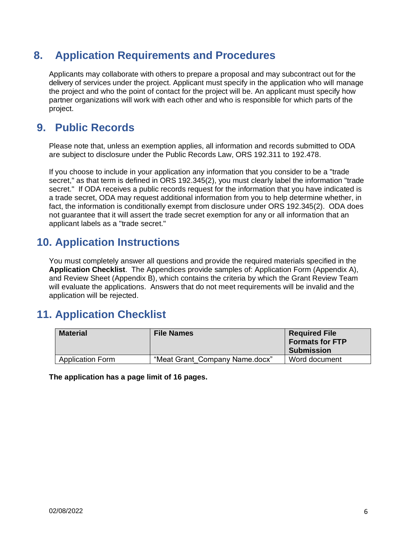# <span id="page-5-0"></span>**8. Application Requirements and Procedures**

Applicants may collaborate with others to prepare a proposal and may subcontract out for the delivery of services under the project. Applicant must specify in the application who will manage the project and who the point of contact for the project will be. An applicant must specify how partner organizations will work with each other and who is responsible for which parts of the project.

# <span id="page-5-1"></span>**9. Public Records**

Please note that, unless an exemption applies, all information and records submitted to ODA are subject to disclosure under the Public Records Law, ORS 192.311 to 192.478.

If you choose to include in your application any information that you consider to be a "trade secret," as that term is defined in ORS 192.345(2), you must clearly label the information "trade secret." If ODA receives a public records request for the information that you have indicated is a trade secret, ODA may request additional information from you to help determine whether, in fact, the information is conditionally exempt from disclosure under ORS 192.345(2). ODA does not guarantee that it will assert the trade secret exemption for any or all information that an applicant labels as a "trade secret."

### <span id="page-5-2"></span>**10. Application Instructions**

You must completely answer all questions and provide the required materials specified in the **Application Checklist**. The Appendices provide samples of: Application Form (Appendix A), and Review Sheet (Appendix B), which contains the criteria by which the Grant Review Team will evaluate the applications. Answers that do not meet requirements will be invalid and the application will be rejected.

# <span id="page-5-3"></span>**11. Application Checklist**

| <b>Material</b>         | <b>File Names</b>              | <b>Required File</b><br><b>Formats for FTP</b><br><b>Submission</b> |
|-------------------------|--------------------------------|---------------------------------------------------------------------|
| <b>Application Form</b> | "Meat Grant Company Name.docx" | Word document                                                       |

**The application has a page limit of 16 pages.**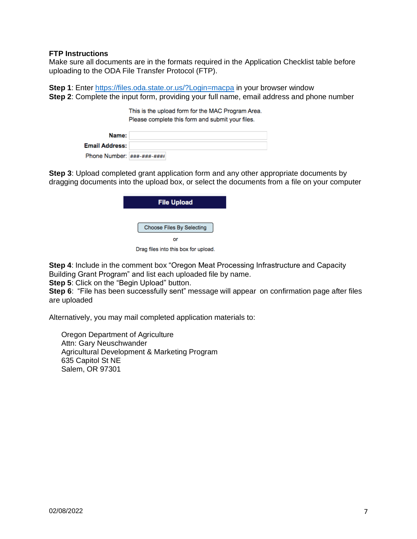#### **FTP Instructions**

Make sure all documents are in the formats required in the Application Checklist table before uploading to the ODA File Transfer Protocol (FTP).

**Step 1**: Enter <https://files.oda.state.or.us/?Login=macpa> in your browser window **Step 2**: Complete the input form, providing your full name, email address and phone number

> This is the upload form for the MAC Program Area. Please complete this form and submit your files.

| Name:                                                                                                                                                                                                                                                                                                                                                                              |  |
|------------------------------------------------------------------------------------------------------------------------------------------------------------------------------------------------------------------------------------------------------------------------------------------------------------------------------------------------------------------------------------|--|
| <b>Email Address:</b>                                                                                                                                                                                                                                                                                                                                                              |  |
| Phone Number: $\left  \frac{1}{4} \frac{1}{4} \frac{1}{4} \frac{1}{4} \frac{1}{4} \frac{1}{4} \frac{1}{4} \frac{1}{4} \frac{1}{4} \frac{1}{4} \frac{1}{4} \frac{1}{4} \frac{1}{4} \frac{1}{4} \frac{1}{4} \frac{1}{4} \frac{1}{4} \frac{1}{4} \frac{1}{4} \frac{1}{4} \frac{1}{4} \frac{1}{4} \frac{1}{4} \frac{1}{4} \frac{1}{4} \frac{1}{4} \frac{1}{4} \frac{1}{4} \frac{1}{4}$ |  |

**Step 3**: Upload completed grant application form and any other appropriate documents by dragging documents into the upload box, or select the documents from a file on your computer

| <b>File Upload</b>        |  |  |  |  |
|---------------------------|--|--|--|--|
| Choose Files By Selecting |  |  |  |  |
| or                        |  |  |  |  |

Drag files into this box for upload.

**Step 4**: Include in the comment box "Oregon Meat Processing Infrastructure and Capacity Building Grant Program" and list each uploaded file by name.

**Step 5**: Click on the "Begin Upload" button.

**Step 6**: "File has been successfully sent" message will appear on confirmation page after files are uploaded

Alternatively, you may mail completed application materials to:

Oregon Department of Agriculture Attn: Gary Neuschwander Agricultural Development & Marketing Program 635 Capitol St NE Salem, OR 97301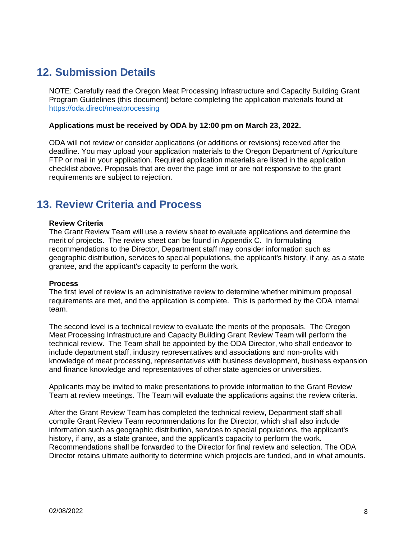# <span id="page-7-0"></span>**12. Submission Details**

NOTE: Carefully read the Oregon Meat Processing Infrastructure and Capacity Building Grant Program Guidelines (this document) before completing the application materials found at <https://oda.direct/meatprocessing>

#### **Applications must be received by ODA by 12:00 pm on March 23, 2022.**

ODA will not review or consider applications (or additions or revisions) received after the deadline. You may upload your application materials to the Oregon Department of Agriculture FTP or mail in your application. Required application materials are listed in the application checklist above. Proposals that are over the page limit or are not responsive to the grant requirements are subject to rejection.

### <span id="page-7-1"></span>**13. Review Criteria and Process**

#### <span id="page-7-2"></span>**Review Criteria**

The Grant Review Team will use a review sheet to evaluate applications and determine the merit of projects. The review sheet can be found in Appendix C. In formulating recommendations to the Director, Department staff may consider information such as geographic distribution, services to special populations, the applicant's history, if any, as a state grantee, and the applicant's capacity to perform the work.

#### <span id="page-7-3"></span>**Process**

The first level of review is an administrative review to determine whether minimum proposal requirements are met, and the application is complete. This is performed by the ODA internal team.

The second level is a technical review to evaluate the merits of the proposals. The Oregon Meat Processing Infrastructure and Capacity Building Grant Review Team will perform the technical review. The Team shall be appointed by the ODA Director, who shall endeavor to include department staff, industry representatives and associations and non-profits with knowledge of meat processing, representatives with business development, business expansion and finance knowledge and representatives of other state agencies or universities.

Applicants may be invited to make presentations to provide information to the Grant Review Team at review meetings. The Team will evaluate the applications against the review criteria.

After the Grant Review Team has completed the technical review, Department staff shall compile Grant Review Team recommendations for the Director, which shall also include information such as geographic distribution, services to special populations, the applicant's history, if any, as a state grantee, and the applicant's capacity to perform the work. Recommendations shall be forwarded to the Director for final review and selection. The ODA Director retains ultimate authority to determine which projects are funded, and in what amounts.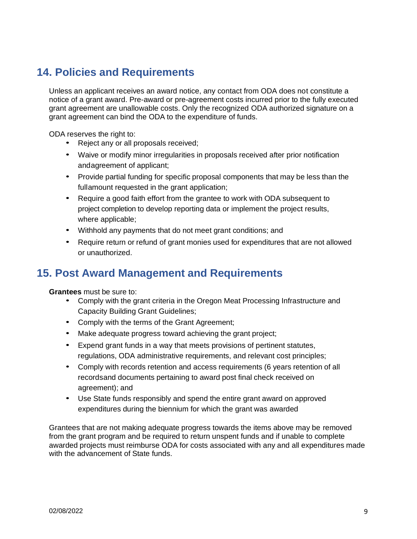# <span id="page-8-0"></span>**14. Policies and Requirements**

Unless an applicant receives an award notice, any contact from ODA does not constitute a notice of a grant award. Pre-award or pre-agreement costs incurred prior to the fully executed grant agreement are unallowable costs. Only the recognized ODA authorized signature on a grant agreement can bind the ODA to the expenditure of funds.

ODA reserves the right to:

- Reject any or all proposals received;
- Waive or modify minor irregularities in proposals received after prior notification andagreement of applicant;
- Provide partial funding for specific proposal components that may be less than the fullamount requested in the grant application;
- Require a good faith effort from the grantee to work with ODA subsequent to project completion to develop reporting data or implement the project results, where applicable;
- Withhold any payments that do not meet grant conditions; and
- Require return or refund of grant monies used for expenditures that are not allowed or unauthorized.

### <span id="page-8-1"></span>**15. Post Award Management and Requirements**

**Grantees** must be sure to:

- Comply with the grant criteria in the Oregon Meat Processing Infrastructure and Capacity Building Grant Guidelines;
- Comply with the terms of the Grant Agreement;
- Make adequate progress toward achieving the grant project;
- Expend grant funds in a way that meets provisions of pertinent statutes, regulations, ODA administrative requirements, and relevant cost principles;
- Comply with records retention and access requirements (6 years retention of all recordsand documents pertaining to award post final check received on agreement); and
- Use State funds responsibly and spend the entire grant award on approved expenditures during the biennium for which the grant was awarded

Grantees that are not making adequate progress towards the items above may be removed from the grant program and be required to return unspent funds and if unable to complete awarded projects must reimburse ODA for costs associated with any and all expenditures made with the advancement of State funds.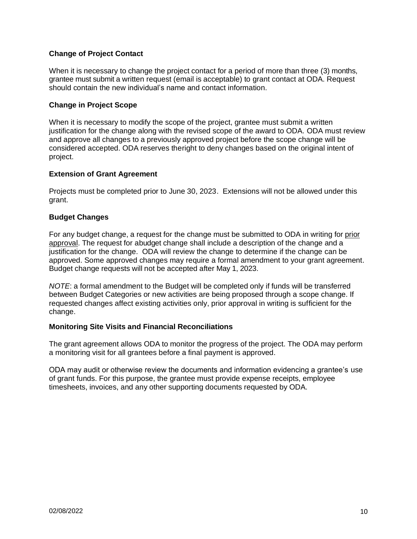### **Change of Project Contact**

When it is necessary to change the project contact for a period of more than three (3) months, grantee must submit a written request (email is acceptable) to grant contact at ODA. Request should contain the new individual's name and contact information.

### **Change in Project Scope**

When it is necessary to modify the scope of the project, grantee must submit a written justification for the change along with the revised scope of the award to ODA. ODA must review and approve all changes to a previously approved project before the scope change will be considered accepted. ODA reserves theright to deny changes based on the original intent of project.

#### **Extension of Grant Agreement**

Projects must be completed prior to June 30, 2023. Extensions will not be allowed under this grant.

#### **Budget Changes**

For any budget change, a request for the change must be submitted to ODA in writing for prior approval. The request for abudget change shall include a description of the change and a justification for the change. ODA will review the change to determine if the change can be approved. Some approved changes may require a formal amendment to your grant agreement. Budget change requests will not be accepted after May 1, 2023.

*NOTE*: a formal amendment to the Budget will be completed only if funds will be transferred between Budget Categories or new activities are being proposed through a scope change. If requested changes affect existing activities only, prior approval in writing is sufficient for the change.

#### **Monitoring Site Visits and Financial Reconciliations**

The grant agreement allows ODA to monitor the progress of the project. The ODA may perform a monitoring visit for all grantees before a final payment is approved.

ODA may audit or otherwise review the documents and information evidencing a grantee's use of grant funds. For this purpose, the grantee must provide expense receipts, employee timesheets, invoices, and any other supporting documents requested by ODA.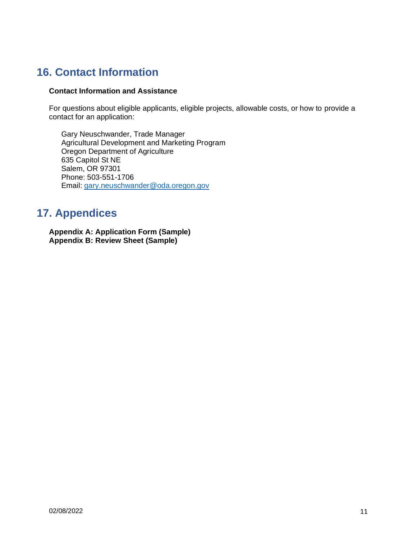# <span id="page-10-0"></span>**16. Contact Information**

### **Contact Information and Assistance**

For questions about eligible applicants, eligible projects, allowable costs, or how to provide a contact for an application:

Gary Neuschwander, Trade Manager Agricultural Development and Marketing Program Oregon Department of Agriculture 635 Capitol St NE Salem, OR 97301 Phone: 503-551-1706 Email: [gary.neuschwander@oda.oregon.gov](mailto:gary.neuschwander@oda.oregon.gov)

# <span id="page-10-1"></span>**17. Appendices**

<span id="page-10-3"></span><span id="page-10-2"></span>**Appendix A: Application Form (Sample) Appendix B: Review Sheet (Sample)**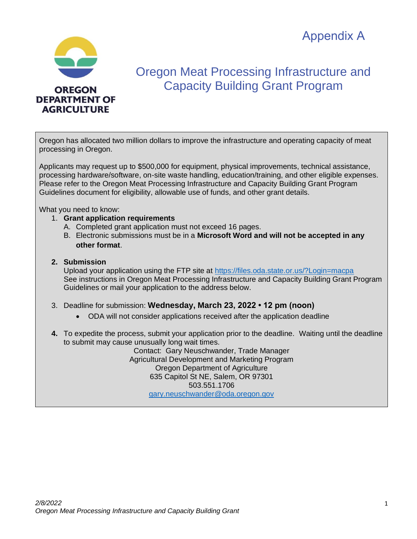Appendix A



# Oregon Meat Processing Infrastructure and Capacity Building Grant Program

Oregon has allocated two million dollars to improve the infrastructure and operating capacity of meat processing in Oregon.

Applicants may request up to \$500,000 for equipment, physical improvements, technical assistance, processing hardware/software, on-site waste handling, education/training, and other eligible expenses. Please refer to the Oregon Meat Processing Infrastructure and Capacity Building Grant Program Guidelines document for eligibility, allowable use of funds, and other grant details.

What you need to know:

- 1. **Grant application requirements**
	- A. Completed grant application must not exceed 16 pages.
	- B. Electronic submissions must be in a **Microsoft Word and will not be accepted in any other format**.

### **2. Submission**

Upload your application using the FTP site at<https://files.oda.state.or.us/?Login=macpa> See instructions in Oregon Meat Processing Infrastructure and Capacity Building Grant Program Guidelines or mail your application to the address below.

- 3. Deadline for submission: **Wednesday, March 23, 2022 12 pm (noon)**
	- ODA will not consider applications received after the application deadline
- **4.** To expedite the process, submit your application prior to the deadline. Waiting until the deadline to submit may cause unusually long wait times.

Contact: Gary Neuschwander, Trade Manager Agricultural Development and Marketing Program Oregon Department of Agriculture 635 Capitol St NE, Salem, OR 97301 503.551.1706 [gary.neuschwander@oda.oregon.gov](mailto:gary.neuschwander@oda.oregon.gov)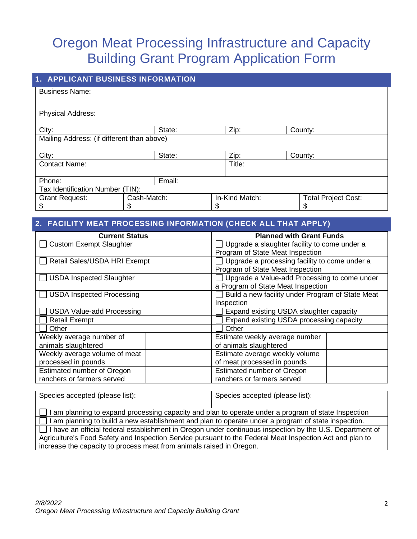# Oregon Meat Processing Infrastructure and Capacity Building Grant Program Application Form

| <b>1. APPLICANT BUSINESS INFORMATION</b>         |        |                |                                 |  |  |  |  |
|--------------------------------------------------|--------|----------------|---------------------------------|--|--|--|--|
| <b>Business Name:</b>                            |        |                |                                 |  |  |  |  |
| Physical Address:                                |        |                |                                 |  |  |  |  |
| City:                                            | State: | Zip:           | County:                         |  |  |  |  |
| Mailing Address: (if different than above)       |        |                |                                 |  |  |  |  |
| City:                                            | State: | Zip:           | County:                         |  |  |  |  |
| <b>Contact Name:</b>                             |        | Title:         |                                 |  |  |  |  |
| Email:<br>Phone:                                 |        |                |                                 |  |  |  |  |
| Tax Identification Number (TIN):                 |        |                |                                 |  |  |  |  |
| Cash-Match:<br><b>Grant Request:</b><br>\$<br>\$ |        | In-Kind Match: | <b>Total Project Cost:</b><br>S |  |  |  |  |

### **2. FACILITY MEAT PROCESSING INFORMATION (CHECK ALL THAT APPLY)**

| <b>Current Status</b>            | <b>Planned with Grant Funds</b>                     |  |  |
|----------------------------------|-----------------------------------------------------|--|--|
| <b>Custom Exempt Slaughter</b>   | $\Box$ Upgrade a slaughter facility to come under a |  |  |
|                                  | Program of State Meat Inspection                    |  |  |
| Retail Sales/USDA HRI Exempt     | Upgrade a processing facility to come under a       |  |  |
|                                  | Program of State Meat Inspection                    |  |  |
| <b>USDA Inspected Slaughter</b>  | Upgrade a Value-add Processing to come under        |  |  |
|                                  | a Program of State Meat Inspection                  |  |  |
| $\Box$ USDA Inspected Processing | Build a new facility under Program of State Meat    |  |  |
|                                  | Inspection                                          |  |  |
| <b>USDA Value-add Processing</b> | Expand existing USDA slaughter capacity             |  |  |
| <b>Retail Exempt</b>             | Expand existing USDA processing capacity            |  |  |
| Other                            | Other                                               |  |  |
| Weekly average number of         | Estimate weekly average number                      |  |  |
| animals slaughtered              | of animals slaughtered                              |  |  |
| Weekly average volume of meat    | Estimate average weekly volume                      |  |  |
| processed in pounds              | of meat processed in pounds                         |  |  |
| Estimated number of Oregon       | Estimated number of Oregon                          |  |  |
| ranchers or farmers served       | ranchers or farmers served                          |  |  |

| Species accepted (please list):                                                                                 | Species accepted (please list): |  |  |  |
|-----------------------------------------------------------------------------------------------------------------|---------------------------------|--|--|--|
| $\Box$ I am planning to expand processing capacity and plan to operate under a program of state Inspection      |                                 |  |  |  |
| $\Box$ I am planning to build a new establishment and plan to operate under a program of state inspection.      |                                 |  |  |  |
| $\Box$ I have an official federal establishment in Oregon under continuous inspection by the U.S. Department of |                                 |  |  |  |
| Agriculture's Food Safety and Inspection Service pursuant to the Federal Meat Inspection Act and plan to        |                                 |  |  |  |
| increase the capacity to process meat from animals raised in Oregon.                                            |                                 |  |  |  |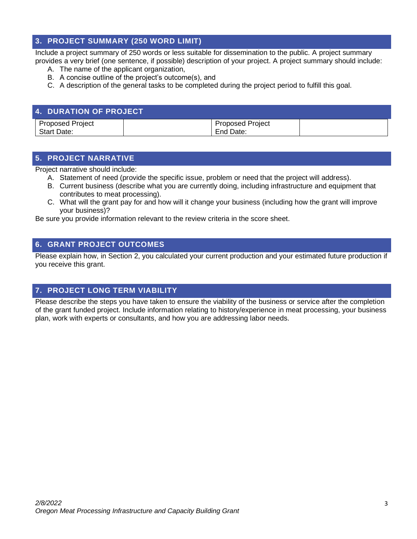### **3. PROJECT SUMMARY (250 WORD LIMIT)**

Include a project summary of 250 words or less suitable for dissemination to the public. A project summary provides a very brief (one sentence, if possible) description of your project. A project summary should include:

- A. The name of the applicant organization,
- B. A concise outline of the project's outcome(s), and
- C. A description of the general tasks to be completed during the project period to fulfill this goal.

| <b>4. DURATION OF PROJECT</b> |                         |  |
|-------------------------------|-------------------------|--|
| <b>Proposed Project</b>       | <b>Proposed Project</b> |  |
| <b>Start Date:</b>            | End Date:               |  |

### **5. PROJECT NARRATIVE**

Project narrative should include:

- A. Statement of need (provide the specific issue, problem or need that the project will address).
- B. Current business (describe what you are currently doing, including infrastructure and equipment that contributes to meat processing).
- C. What will the grant pay for and how will it change your business (including how the grant will improve your business)?

Be sure you provide information relevant to the review criteria in the score sheet.

### **6. GRANT PROJECT OUTCOMES**

Please explain how, in Section 2, you calculated your current production and your estimated future production if you receive this grant.

### **7. PROJECT LONG TERM VIABILITY**

Please describe the steps you have taken to ensure the viability of the business or service after the completion of the grant funded project. Include information relating to history/experience in meat processing, your business plan, work with experts or consultants, and how you are addressing labor needs.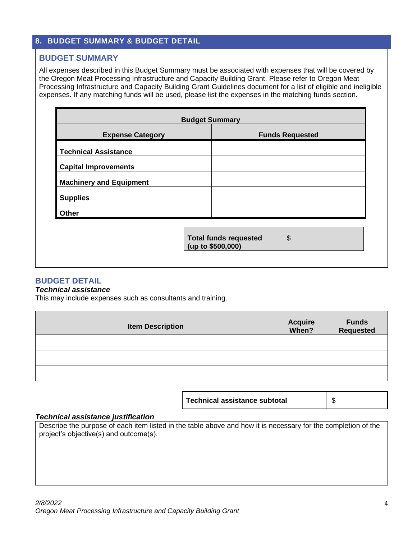### **8. BUDGET SUMMARY & BUDGET DETAIL**

### **BUDGET SUMMARY**

All expenses described in this Budget Summary must be associated with expenses that will be covered by the Oregon Meat Processing Infrastructure and Capacity Building Grant. Please refer to Oregon Meat Processing Infrastructure and Capacity Building Grant Guidelines document for a list of eligible and ineligible expenses. If any matching funds will be used, please list the expenses in the matching funds section.

| <b>Expense Category</b>        |                                                   | <b>Funds Requested</b> |
|--------------------------------|---------------------------------------------------|------------------------|
| <b>Technical Assistance</b>    |                                                   |                        |
| <b>Capital Improvements</b>    |                                                   |                        |
| <b>Machinery and Equipment</b> |                                                   |                        |
| <b>Supplies</b>                |                                                   |                        |
| <b>Other</b>                   |                                                   |                        |
|                                | <b>Total funds requested</b><br>(up to \$500,000) | \$                     |

### **BUDGET DETAIL**

#### *Technical assistance*

This may include expenses such as consultants and training.

| <b>Item Description</b> | <b>Acquire</b><br><b>When?</b> | <b>Funds</b><br><b>Requested</b> |
|-------------------------|--------------------------------|----------------------------------|
|                         |                                |                                  |
|                         |                                |                                  |
|                         |                                |                                  |

#### *Technical assistance justification*

Describe the purpose of each item listed in the table above and how it is necessary for the completion of the project's objective(s) and outcome(s).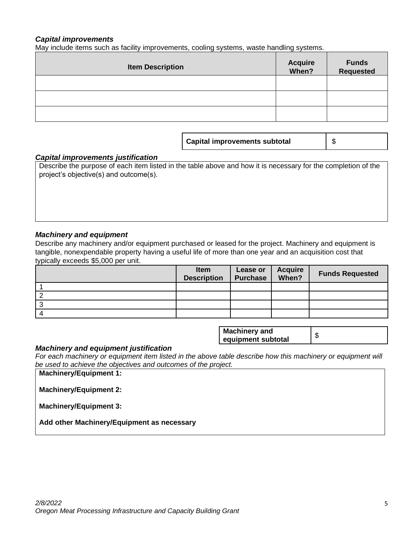#### *Capital improvements*

May include items such as facility improvements, cooling systems, waste handling systems.

| <b>Item Description</b> | <b>Acquire</b><br><b>When?</b> | <b>Funds</b><br><b>Requested</b> |
|-------------------------|--------------------------------|----------------------------------|
|                         |                                |                                  |
|                         |                                |                                  |
|                         |                                |                                  |

**Capital improvements subtotal** \$

#### *Capital improvements justification*

Describe the purpose of each item listed in the table above and how it is necessary for the completion of the project's objective(s) and outcome(s).

#### *Machinery and equipment*

Describe any machinery and/or equipment purchased or leased for the project. Machinery and equipment is tangible, nonexpendable property having a useful life of more than one year and an acquisition cost that typically exceeds \$5,000 per unit.

| <b>Item</b><br><b>Description</b> | Lease or<br><b>Purchase</b> | <b>Acquire</b><br>When? | <b>Funds Requested</b> |
|-----------------------------------|-----------------------------|-------------------------|------------------------|
|                                   |                             |                         |                        |
|                                   |                             |                         |                        |
|                                   |                             |                         |                        |
|                                   |                             |                         |                        |

| <b>Machinery and</b><br>equipment subtotal |  |
|--------------------------------------------|--|
|--------------------------------------------|--|

#### *Machinery and equipment justification*

*For each machinery or equipment item listed in the above table describe how this machinery or equipment will be used to achieve the objectives and outcomes of the project.* 

**Machinery/Equipment 1:**

**Machinery/Equipment 2:**

**Machinery/Equipment 3:**

**Add other Machinery/Equipment as necessary**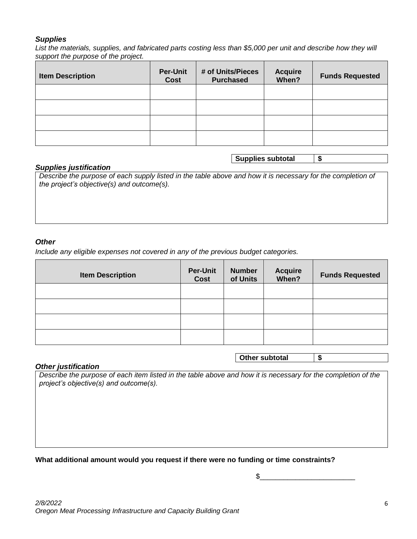#### *Supplies*

*List the materials, supplies, and fabricated parts costing less than \$5,000 per unit and describe how they will support the purpose of the project.*

| <b>Item Description</b> | <b>Per-Unit</b><br>Cost | # of Units/Pieces<br><b>Purchased</b> | <b>Acquire</b><br>When? | <b>Funds Requested</b> |
|-------------------------|-------------------------|---------------------------------------|-------------------------|------------------------|
|                         |                         |                                       |                         |                        |
|                         |                         |                                       |                         |                        |
|                         |                         |                                       |                         |                        |
|                         |                         |                                       |                         |                        |

### **Supplies subtotal \$**

**Other subtotal \$**

#### *Supplies justification*

*Describe the purpose of each supply listed in the table above and how it is necessary for the completion of the project's objective(s) and outcome(s).*

#### *Other*

*Include any eligible expenses not covered in any of the previous budget categories.* 

| <b>Item Description</b> | <b>Per-Unit</b><br>Cost | <b>Number</b><br>of Units | <b>Acquire</b><br>When? | <b>Funds Requested</b> |
|-------------------------|-------------------------|---------------------------|-------------------------|------------------------|
|                         |                         |                           |                         |                        |
|                         |                         |                           |                         |                        |
|                         |                         |                           |                         |                        |
|                         |                         |                           |                         |                        |

#### *Other justification*

*Describe the purpose of each item listed in the table above and how it is necessary for the completion of the project's objective(s) and outcome(s).*

#### **What additional amount would you request if there were no funding or time constraints?**

 $\mathbb{S}$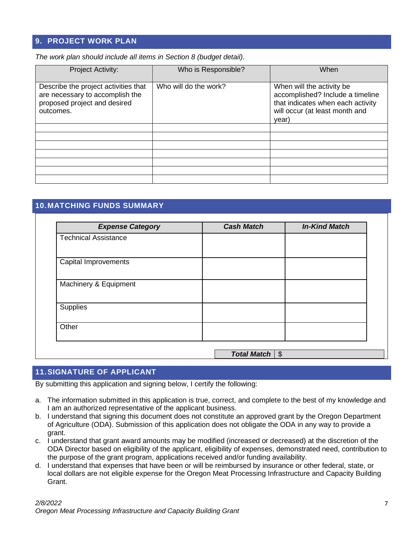### **9. PROJECT WORK PLAN**

*The work plan should include all items in Section 8 (budget detail).* 

| <b>Project Activity:</b>                                                                                             | Who is Responsible?   | When                                                                                                                                          |
|----------------------------------------------------------------------------------------------------------------------|-----------------------|-----------------------------------------------------------------------------------------------------------------------------------------------|
| Describe the project activities that<br>are necessary to accomplish the<br>proposed project and desired<br>outcomes. | Who will do the work? | When will the activity be<br>accomplished? Include a timeline<br>that indicates when each activity<br>will occur (at least month and<br>year) |
|                                                                                                                      |                       |                                                                                                                                               |
|                                                                                                                      |                       |                                                                                                                                               |
|                                                                                                                      |                       |                                                                                                                                               |
|                                                                                                                      |                       |                                                                                                                                               |
|                                                                                                                      |                       |                                                                                                                                               |
|                                                                                                                      |                       |                                                                                                                                               |
|                                                                                                                      |                       |                                                                                                                                               |

### **10.MATCHING FUNDS SUMMARY**

| <b>Cash Match</b> | <b>In-Kind Match</b> |
|-------------------|----------------------|
|                   |                      |
|                   |                      |
|                   |                      |
|                   |                      |
|                   |                      |
|                   |                      |

### **11.SIGNATURE OF APPLICANT**

By submitting this application and signing below, I certify the following:

- a. The information submitted in this application is true, correct, and complete to the best of my knowledge and I am an authorized representative of the applicant business.
- b. I understand that signing this document does not constitute an approved grant by the Oregon Department of Agriculture (ODA). Submission of this application does not obligate the ODA in any way to provide a grant.
- c. I understand that grant award amounts may be modified (increased or decreased) at the discretion of the ODA Director based on eligibility of the applicant, eligibility of expenses, demonstrated need, contribution to the purpose of the grant program, applications received and/or funding availability.
- d. I understand that expenses that have been or will be reimbursed by insurance or other federal, state, or local dollars are not eligible expense for the Oregon Meat Processing Infrastructure and Capacity Building Grant.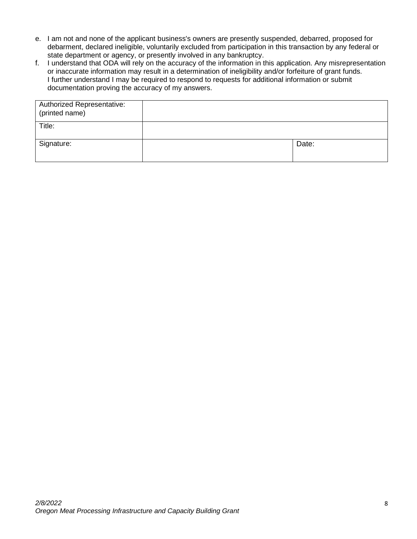- e. I am not and none of the applicant business's owners are presently suspended, debarred, proposed for debarment, declared ineligible, voluntarily excluded from participation in this transaction by any federal or state department or agency, or presently involved in any bankruptcy.
- f. I understand that ODA will rely on the accuracy of the information in this application. Any misrepresentation or inaccurate information may result in a determination of ineligibility and/or forfeiture of grant funds. I further understand I may be required to respond to requests for additional information or submit documentation proving the accuracy of my answers.

| Authorized Representative:<br>(printed name) |       |
|----------------------------------------------|-------|
| Title:                                       |       |
| Signature:                                   | Date: |